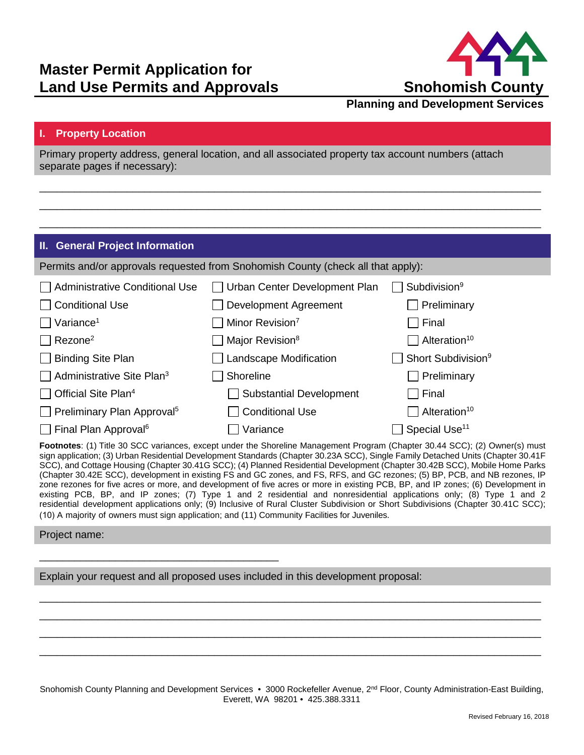

## **Planning and Development Services**

## **I. Property Location**

Primary property address, general location, and all associated property tax account numbers (attach separate pages if necessary):

\_\_\_\_\_\_\_\_\_\_\_\_\_\_\_\_\_\_\_\_\_\_\_\_\_\_\_\_\_\_\_\_\_\_\_\_\_\_\_\_\_\_\_\_\_\_\_\_\_\_\_\_\_\_\_\_\_\_\_\_\_\_\_\_\_\_\_\_\_\_\_\_\_\_\_\_\_\_\_\_\_\_\_\_\_\_ \_\_\_\_\_\_\_\_\_\_\_\_\_\_\_\_\_\_\_\_\_\_\_\_\_\_\_\_\_\_\_\_\_\_\_\_\_\_\_\_\_\_\_\_\_\_\_\_\_\_\_\_\_\_\_\_\_\_\_\_\_\_\_\_\_\_\_\_\_\_\_\_\_\_\_\_\_\_\_\_\_\_\_\_\_\_ \_\_\_\_\_\_\_\_\_\_\_\_\_\_\_\_\_\_\_\_\_\_\_\_\_\_\_\_\_\_\_\_\_\_\_\_\_\_\_\_\_\_\_\_\_\_\_\_\_\_\_\_\_\_\_\_\_\_\_\_\_\_\_\_\_\_\_\_\_\_\_\_\_\_\_\_\_\_\_\_\_\_\_\_\_\_

## **II. General Project Information**

|                                               | Permits and/or approvals requested from Snohomish County (check all that apply): |                                 |
|-----------------------------------------------|----------------------------------------------------------------------------------|---------------------------------|
| Administrative Conditional Use                | Urban Center Development Plan                                                    | Subdivision <sup>9</sup>        |
| $\Box$ Conditional Use                        | Development Agreement                                                            | Preliminary                     |
| $\Box$ Variance <sup>1</sup>                  | Minor Revision <sup>7</sup>                                                      | Final                           |
| $\Box$ Rezone <sup>2</sup>                    | Major Revision <sup>8</sup>                                                      | $\Box$ Alteration <sup>10</sup> |
| $\Box$ Binding Site Plan                      | <b>Landscape Modification</b>                                                    | Short Subdivision <sup>9</sup>  |
| $\Box$ Administrative Site Plan <sup>3</sup>  | Shoreline                                                                        | Preliminary                     |
| $\Box$ Official Site Plan <sup>4</sup>        | <b>Substantial Development</b>                                                   | $\top$ Final                    |
| $\Box$ Preliminary Plan Approval <sup>5</sup> | <b>Conditional Use</b>                                                           | $\Box$ Alteration <sup>10</sup> |
| $\Box$ Final Plan Approval <sup>6</sup>       | Variance                                                                         | Special Use <sup>11</sup>       |

**Footnotes**: (1) Title 30 SCC variances, except under the Shoreline Management Program (Chapter 30.44 SCC); (2) Owner(s) must sign application; (3) Urban Residential Development Standards (Chapter 30.23A SCC), Single Family Detached Units (Chapter 30.41F SCC), and Cottage Housing (Chapter 30.41G SCC); (4) Planned Residential Development (Chapter 30.42B SCC), Mobile Home Parks (Chapter 30.42E SCC), development in existing FS and GC zones, and FS, RFS, and GC rezones; (5) BP, PCB, and NB rezones, IP zone rezones for five acres or more, and development of five acres or more in existing PCB, BP, and IP zones; (6) Development in existing PCB, BP, and IP zones; (7) Type 1 and 2 residential and nonresidential applications only; (8) Type 1 and 2 residential development applications only; (9) Inclusive of Rural Cluster Subdivision or Short Subdivisions (Chapter 30.41C SCC); (10) A majority of owners must sign application; and (11) Community Facilities for Juveniles.

## Project name:

Explain your request and all proposed uses included in this development proposal:

\_\_\_\_\_\_\_\_\_\_\_\_\_\_\_\_\_\_\_\_\_\_\_\_\_\_\_\_\_\_\_\_\_\_\_\_\_\_\_\_\_

Snohomish County Planning and Development Services • 3000 Rockefeller Avenue, 2<sup>nd</sup> Floor, County Administration-East Building, Everett, WA 98201 • 425.388.3311

\_\_\_\_\_\_\_\_\_\_\_\_\_\_\_\_\_\_\_\_\_\_\_\_\_\_\_\_\_\_\_\_\_\_\_\_\_\_\_\_\_\_\_\_\_\_\_\_\_\_\_\_\_\_\_\_\_\_\_\_\_\_\_\_\_\_\_\_\_\_\_\_\_\_\_\_\_\_\_\_\_\_\_\_\_\_ \_\_\_\_\_\_\_\_\_\_\_\_\_\_\_\_\_\_\_\_\_\_\_\_\_\_\_\_\_\_\_\_\_\_\_\_\_\_\_\_\_\_\_\_\_\_\_\_\_\_\_\_\_\_\_\_\_\_\_\_\_\_\_\_\_\_\_\_\_\_\_\_\_\_\_\_\_\_\_\_\_\_\_\_\_\_ \_\_\_\_\_\_\_\_\_\_\_\_\_\_\_\_\_\_\_\_\_\_\_\_\_\_\_\_\_\_\_\_\_\_\_\_\_\_\_\_\_\_\_\_\_\_\_\_\_\_\_\_\_\_\_\_\_\_\_\_\_\_\_\_\_\_\_\_\_\_\_\_\_\_\_\_\_\_\_\_\_\_\_\_\_\_ \_\_\_\_\_\_\_\_\_\_\_\_\_\_\_\_\_\_\_\_\_\_\_\_\_\_\_\_\_\_\_\_\_\_\_\_\_\_\_\_\_\_\_\_\_\_\_\_\_\_\_\_\_\_\_\_\_\_\_\_\_\_\_\_\_\_\_\_\_\_\_\_\_\_\_\_\_\_\_\_\_\_\_\_\_\_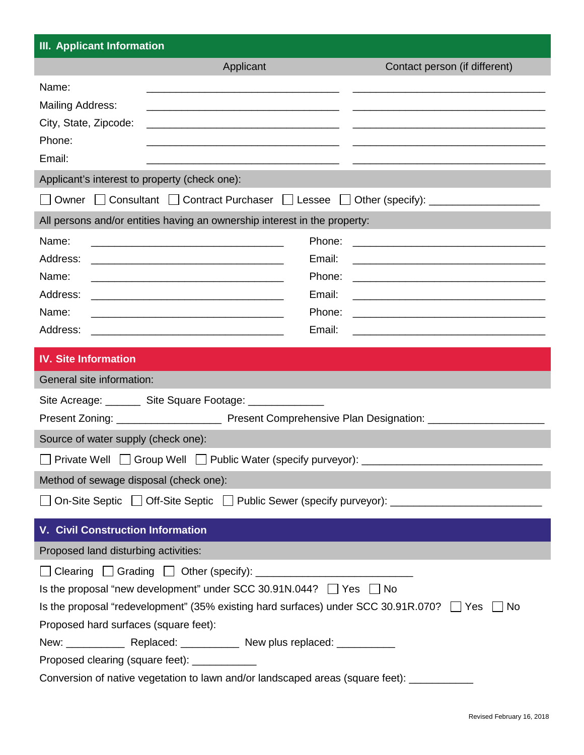| <b>III. Applicant Information</b>                            |                                                                                                                                 |                                                                                                                       |  |
|--------------------------------------------------------------|---------------------------------------------------------------------------------------------------------------------------------|-----------------------------------------------------------------------------------------------------------------------|--|
|                                                              | Applicant                                                                                                                       | Contact person (if different)                                                                                         |  |
| Name:                                                        |                                                                                                                                 |                                                                                                                       |  |
| <b>Mailing Address:</b>                                      |                                                                                                                                 |                                                                                                                       |  |
| City, State, Zipcode:                                        | <u> 1980 - Jan Sterling von Berling von Berling von Berling von Berling von Berling von Berling von Berling von B</u>           |                                                                                                                       |  |
| Phone:                                                       |                                                                                                                                 |                                                                                                                       |  |
| Email:                                                       |                                                                                                                                 |                                                                                                                       |  |
| Applicant's interest to property (check one):                |                                                                                                                                 |                                                                                                                       |  |
|                                                              |                                                                                                                                 | Owner □ Consultant □ Contract Purchaser □ Lessee □ Other (specify): ____________                                      |  |
|                                                              | All persons and/or entities having an ownership interest in the property:                                                       |                                                                                                                       |  |
| Name:                                                        | Phone:                                                                                                                          | <u> 2000 - Andrea Andrew Maria (h. 1888).</u>                                                                         |  |
| Address:                                                     | Email:                                                                                                                          | <u> 1989 - Johann Harry Harry Harry Harry Harry Harry Harry Harry Harry Harry Harry Harry Harry Harry Harry Harry</u> |  |
| Name:                                                        | Phone:<br><u> 1989 - Johann John Stone, mars eta biztanleria (h. 1989).</u>                                                     | <u> 1989 - Johann Harry Harry Harry Harry Harry Harry Harry Harry Harry Harry Harry Harry Harry Harry Harry Harry</u> |  |
| Address:                                                     | Email:<br><u> 1989 - Johann Harry Harry Harry Harry Harry Harry Harry Harry Harry Harry Harry Harry Harry Harry Harry Harry</u> | <u> 1989 - Jan Samuel Barbara, menyebara tenagai bagian perangan perangan perangan perangan perangan perangan per</u> |  |
| Name:                                                        |                                                                                                                                 |                                                                                                                       |  |
| Address:                                                     | Email:<br><u> 1989 - Johann Barn, mars and de Brasilian (b. 1989)</u>                                                           | <u> 1989 - Johann Harry Harry Harry Harry Harry Harry Harry Harry Harry Harry Harry Harry Harry Harry Harry Harry</u> |  |
| <b>IV. Site Information</b>                                  |                                                                                                                                 |                                                                                                                       |  |
| General site information:                                    |                                                                                                                                 |                                                                                                                       |  |
|                                                              | Site Acreage: ________ Site Square Footage: ______________                                                                      |                                                                                                                       |  |
|                                                              |                                                                                                                                 |                                                                                                                       |  |
| Source of water supply (check one):                          |                                                                                                                                 |                                                                                                                       |  |
| Private Well □ Group Well □ Public Water (specify purveyor): |                                                                                                                                 |                                                                                                                       |  |
| Method of sewage disposal (check one):                       |                                                                                                                                 |                                                                                                                       |  |
|                                                              |                                                                                                                                 | On-Site Septic   Off-Site Septic   Public Sewer (specify purveyor): ________________________________                  |  |
|                                                              |                                                                                                                                 |                                                                                                                       |  |
| <b>V. Civil Construction Information</b>                     |                                                                                                                                 |                                                                                                                       |  |
| Proposed land disturbing activities:                         |                                                                                                                                 |                                                                                                                       |  |
| $\Box$                                                       |                                                                                                                                 |                                                                                                                       |  |
|                                                              | Is the proposal "new development" under SCC 30.91N.044? $\Box$ Yes $\Box$ No                                                    |                                                                                                                       |  |
|                                                              | Is the proposal "redevelopment" (35% existing hard surfaces) under SCC 30.91R.070? $\Box$ Yes $\Box$ No                         |                                                                                                                       |  |
| Proposed hard surfaces (square feet):                        |                                                                                                                                 |                                                                                                                       |  |
| Proposed clearing (square feet): ____________                |                                                                                                                                 |                                                                                                                       |  |
|                                                              | Conversion of native vegetation to lawn and/or landscaped areas (square feet): ___                                              |                                                                                                                       |  |